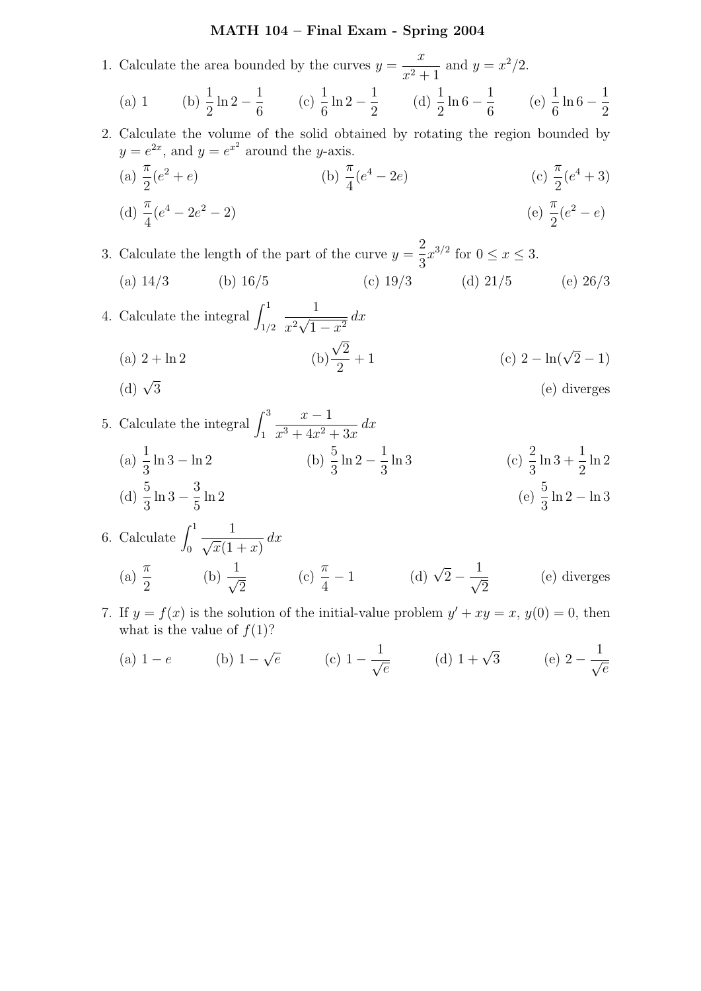## MATH 104 – Final Exam - Spring 2004

1. Calculate the area bounded by the curves  $y =$  $\overline{x}$  $\frac{x}{x^2+1}$  and  $y = x^2/2$ . (a) 1 (b)  $\frac{1}{2}$ 2  $\ln 2 - \frac{1}{c}$ 6  $(c) \frac{1}{c}$ 6  $\ln 2 - \frac{1}{2}$ 2 (d)  $\frac{1}{2}$ 2  $\ln 6 - \frac{1}{6}$ 6 (e)  $\frac{1}{c}$ 6  $\ln 6 - \frac{1}{5}$ 2 2. Calculate the volume of the solid obtained by rotating the region bounded by  $y = e^{2x}$ , and  $y = e^{x^2}$  around the y-axis. (a)  $\frac{\pi}{2}$ 2 (e  $^{2}+e$ ) (b)  $\frac{\pi}{4}$ 4  $(e^4 - 2e)$  (c)  $\frac{\pi}{2}$ 2  $(e^4 + 3)$ (d)  $\frac{\pi}{4}$ 4  $(e^4-2e$  $^{2}-2)$  (e)  $\frac{\pi}{2}$ 2  $(e^2-e)$ 3. Calculate the length of the part of the curve  $y =$ 2 3  $x^{3/2}$  for  $0 \leq x \leq 3$ . (a)  $14/3$  (b)  $16/5$  (c)  $19/3$  (d)  $21/5$  (e)  $26/3$ 4. Calculate the integral  $\int_{1/2}^{1}$ 1  $\frac{1}{x^2}\sqrt{2x^2}$  $\frac{1}{1-x^2} dx$  $(a)$  2 +  $\ln 2$ √ 2 2  $+ 1$  (c)  $2 - \ln(\sqrt{2} - 1)$ (d)  $\sqrt{3}$ 3 (e) diverges 5. Calculate the integral  $\int_1^3$  $x - 1$  $\frac{x}{x^3+4x^2+3x} dx$ (a)  $\frac{1}{2}$ 3  $\ln 3 - \ln 2$  (b)  $\frac{5}{2}$ 3  $\ln 2 - \frac{1}{2}$ 3  $\ln 3$  (c)  $\frac{2}{3}$ 3  $\ln 3 + \frac{1}{2}$ 2 ln 2 (d)  $\frac{5}{9}$  $\ln 3 - \frac{3}{5}$  $\ln 2$  (e)  $\frac{5}{3}$ 

6. Calculate 
$$
\int_0^1 \frac{1}{\sqrt{x}(1+x)} dx
$$
  
\n(a)  $\frac{\pi}{2}$  (b)  $\frac{1}{\sqrt{2}}$  (c)  $\frac{\pi}{4} - 1$  (d)  $\sqrt{2} - \frac{1}{\sqrt{2}}$  (e) diverges

ln 2 − ln 3

7. If  $y = f(x)$  is the solution of the initial-value problem  $y' + xy = x$ ,  $y(0) = 0$ , then what is the value of  $f(1)$ ?

(a) 
$$
1 - e
$$
 (b)  $1 - \sqrt{e}$  (c)  $1 - \frac{1}{\sqrt{e}}$  (d)  $1 + \sqrt{3}$  (e)  $2 - \frac{1}{\sqrt{e}}$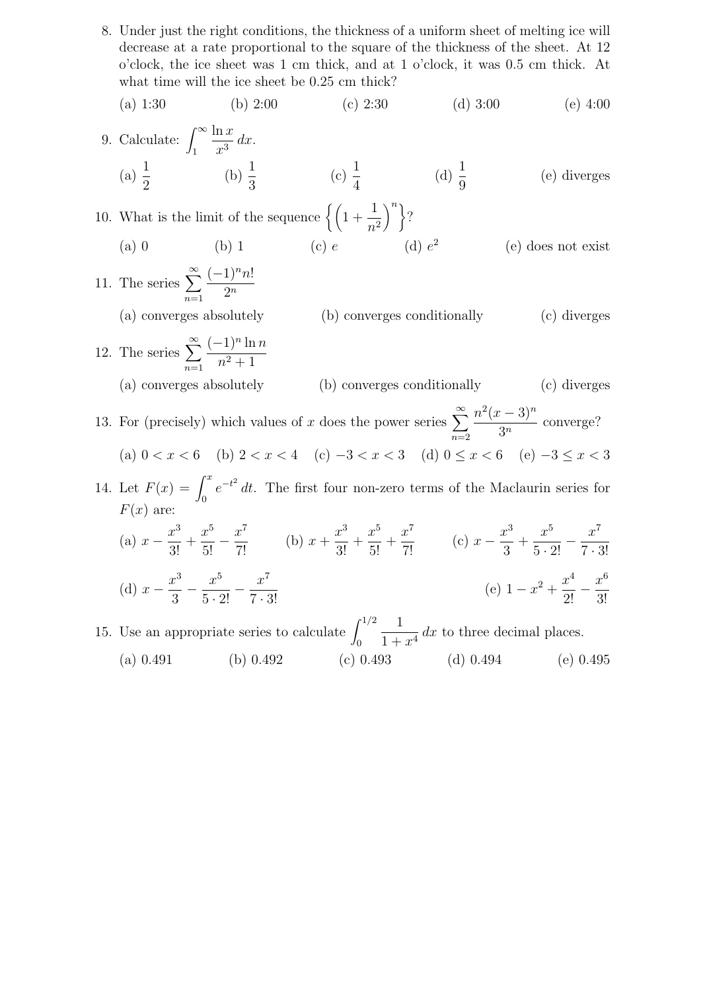8. Under just the right conditions, the thickness of a uniform sheet of melting ice will decrease at a rate proportional to the square of the thickness of the sheet. At 12 o'clock, the ice sheet was 1 cm thick, and at 1 o'clock, it was 0.5 cm thick. At what time will the ice sheet be 0.25 cm thick?

(a) 1:30 (b) 2:00 (c) 2:30 (d) 3:00 (e) 4:00

9. Calculate: 
$$
\int_{1}^{\infty} \frac{\ln x}{x^3} dx
$$
.  
\n(a)  $\frac{1}{2}$  \n(b)  $\frac{1}{3}$  \n(c)  $\frac{1}{4}$  \n(d)  $\frac{1}{9}$  \n(e) diverges

10. What is the limit of the sequence  $\left\{ \left(1 + \frac{1}{2}\right)$  $n<sup>2</sup>$  $\Big)^n$  }? (a) 0 (b) 1 (c) e (d)  $e^2$ (e) does not exist

11. The series  $\sum_{n=1}^{\infty}$  $n=1$  $(-1)^n n!$  $2^n$ (a) converges absolutely (b) converges conditionally (c) diverges 12. The series  $\sum_{n=1}^{\infty}$  $n=1$  $(-1)^n \ln n$  $n^2 + 1$ (a) converges absolutely (b) converges conditionally (c) diverges 13. For (precisely) which values of x does the power series  $\sum_{n=1}^{\infty}$  $n=2$  $n^2(x-3)^n$  $\frac{3^n}{3^n}$  converge? (a)  $0 < x < 6$  (b)  $2 < x < 4$  (c)  $-3 < x < 3$  (d)  $0 \le x < 6$  (e)  $-3 \le x < 3$ 14. Let  $F(x) = \int_0^x e^{-t^2} dt$ . The first four non-zero terms of the Maclaurin series for  $F(x)$  are:

(a) 
$$
x - \frac{x^3}{3!} + \frac{x^5}{5!} - \frac{x^7}{7!}
$$
 (b)  $x + \frac{x^3}{3!} + \frac{x^5}{5!} + \frac{x^7}{7!}$  (c)  $x - \frac{x^3}{3} + \frac{x^5}{5 \cdot 2!} - \frac{x^7}{7 \cdot 3!}$   
(d)  $x - \frac{x^3}{3} - \frac{x^5}{5 \cdot 2!} - \frac{x^7}{7 \cdot 3!}$  (e)  $1 - x^2 + \frac{x^4}{2!} - \frac{x^6}{3!}$ 

15. Use an appropriate series to calculate  $\int_0^{1/2}$ 1  $\frac{1}{1+x^4}$  dx to three decimal places. (a) 0.491 (b) 0.492 (c) 0.493 (d) 0.494 (e) 0.495